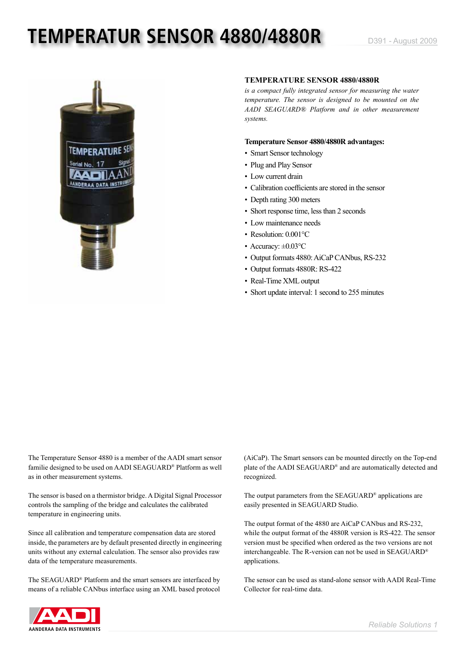# **TEMPERATUR SENSOR 4880/4880R** D391 - August 2009



### **TEMPERATURE SENSOR 4880/4880R**

*is a compact fully integrated sensor for measuring the water temperature. The sensor is designed to be mounted on the AADI SEAGUARD® Platform and in other measurement systems.*

### **Temperature Sensor 4880/4880R advantages:**

- Smart Sensor technology
- Plug and Play Sensor
- Low current drain
- Calibration coefficients are stored in the sensor
- Depth rating 300 meters
- Short response time, less than 2 seconds
- Low maintenance needs
- Resolution: 0.001°C
- Accuracy:  $\pm 0.03$ °C
- Output formats 4880: AiCaP CANbus, RS-232
- Output formats 4880R: RS-422
- Real-Time XML output
- Short update interval: 1 second to 255 minutes

The Temperature Sensor 4880 is a member of the AADI smart sensor familie designed to be used on AADI SEAGUARD® Platform as well as in other measurement systems.

The sensor is based on a thermistor bridge. A Digital Signal Processor controls the sampling of the bridge and calculates the calibrated temperature in engineering units.

Since all calibration and temperature compensation data are stored inside, the parameters are by default presented directly in engineering units without any external calculation. The sensor also provides raw data of the temperature measurements.

The SEAGUARD® Platform and the smart sensors are interfaced by means of a reliable CANbus interface using an XML based protocol (AiCaP). The Smart sensors can be mounted directly on the Top-end plate of the AADI SEAGUARD® and are automatically detected and recognized.

The output parameters from the SEAGUARD® applications are easily presented in SEAGUARD Studio.

The output format of the 4880 are AiCaP CANbus and RS-232, while the output format of the 4880R version is RS-422. The sensor version must be specified when ordered as the two versions are not interchangeable. The R-version can not be used in SEAGUARD® applications.

The sensor can be used as stand-alone sensor with AADI Real-Time Collector for real-time data.